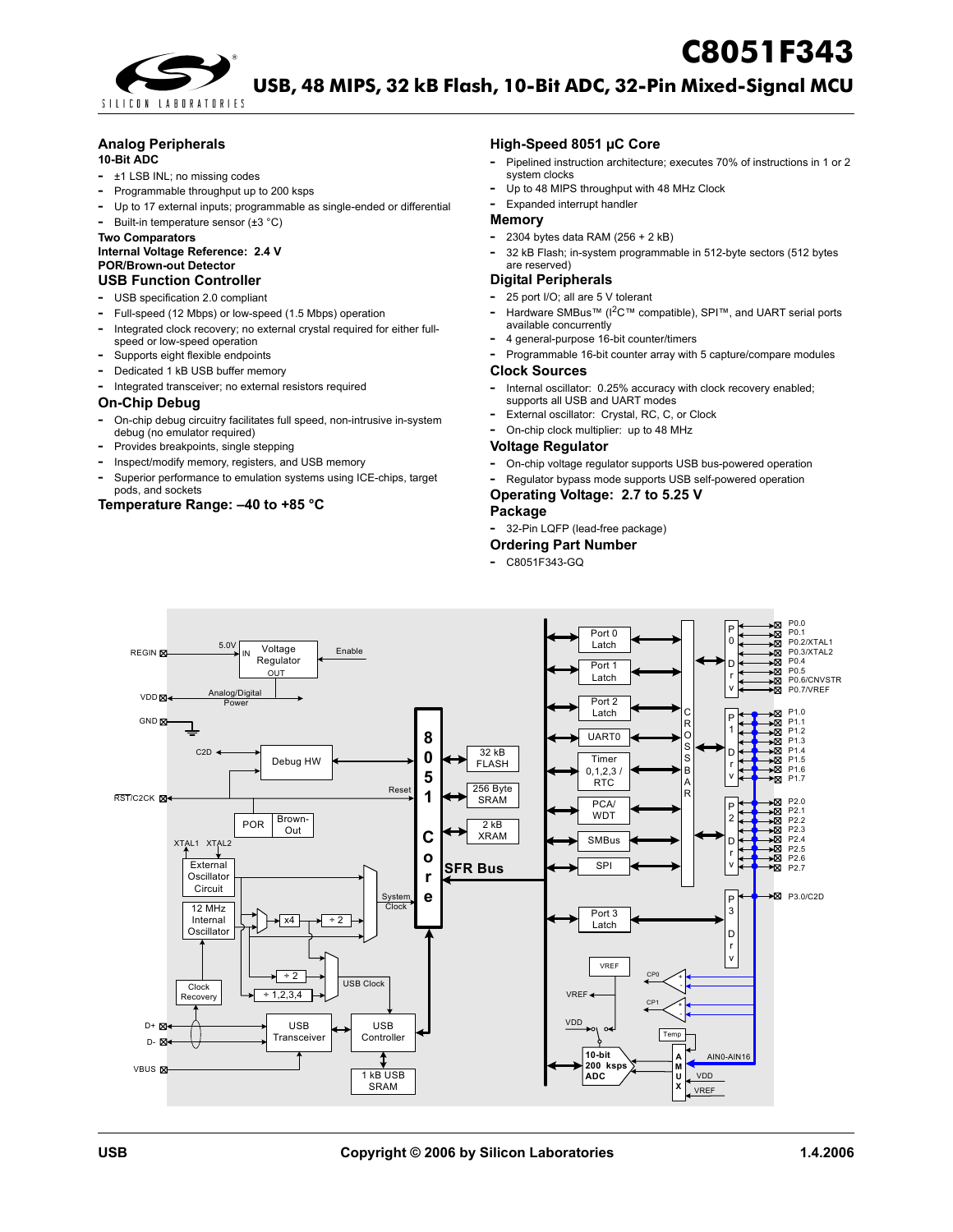



**[U](http://www.cygnal.com)SB, 48 MIPS, 32 kB Flash, 10-Bit ADC, 32-Pin Mixed-Signal MCU**

## **Analog Peripherals**

#### **10-Bit ADC**

- **-** ±1 LSB INL; no missing codes
- **-** Programmable throughput up to 200 ksps
- **-** Up to 17 external inputs; programmable as single-ended or differential

## **-** Built-in temperature sensor (±3 °C)

**Two Comparators Internal Voltage Reference: 2.4 V**

### **POR/Brown-out Detector**

### **USB Function Controller**

- **-** USB specification 2.0 compliant
- **-** Full-speed (12 Mbps) or low-speed (1.5 Mbps) operation
- **-** Integrated clock recovery; no external crystal required for either fullspeed or low-speed operation
- **-** Supports eight flexible endpoints
- **-** Dedicated 1 kB USB buffer memory
- **-** Integrated transceiver; no external resistors required

#### **On-Chip Debug**

- **-** On-chip debug circuitry facilitates full speed, non-intrusive in-system debug (no emulator required)
- **-** Provides breakpoints, single stepping
- **-** Inspect/modify memory, registers, and USB memory
- **-** Superior performance to emulation systems using ICE-chips, target pods, and sockets

### **Temperature Range: –40 to +85 °C**

#### **High-Speed 8051 µC Core**

- **-** Pipelined instruction architecture; executes 70% of instructions in 1 or 2 system clocks
- **-** Up to 48 MIPS throughput with 48 MHz Clock
- **-** Expanded interrupt handler

### **Memory**

- **-** 2304 bytes data RAM (256 <sup>+</sup> <sup>2</sup> kB)
- **-** <sup>32</sup> kB Flash; in-system programmable in 512-byte sectors (512 bytes are reserved)

### **Digital Peripherals**

- **-** 25 port I/O; all are 5 V tolerant
- **-** Hardware SMBus™ (I2C™ compatible), SPI™, and UART serial ports available concurrently
- **-** 4 general-purpose 16-bit counter/timers
- **-** Programmable 16-bit counter array with 5 capture/compare modules

### **Clock Sources**

- **-** Internal oscillator: 0.25% accuracy with clock recovery enabled; supports all USB and UART modes
- **-** External oscillator: Crystal, RC, C, or Clock
- **-** On-chip clock multiplier: up to 48 MHz

### **Voltage Regulator**

- **-** On-chip voltage regulator supports USB bus-powered operation
- **-** Regulator bypass mode supports USB self-powered operation

## **Operating Voltage: 2.7 to 5.25 V**

## **Package**

**-** 32-Pin LQFP (lead-free package)

#### **Ordering Part Number**

**-** C8051F343-GQ